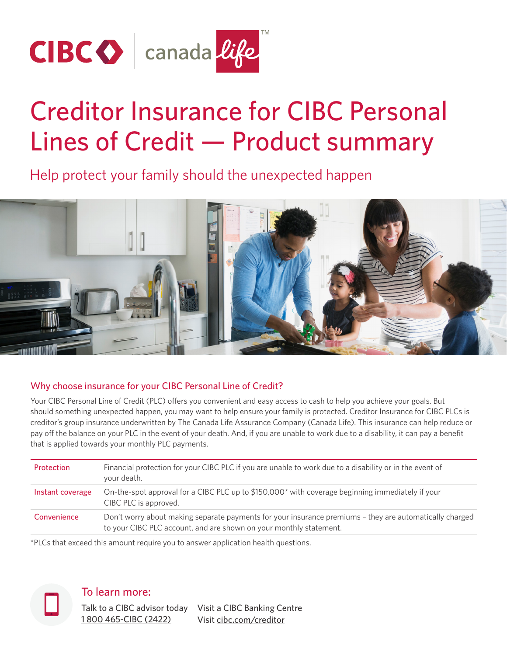

# Creditor Insurance for CIBC Personal Lines of Credit — Product summary

Help protect your family should the unexpected happen



## Why choose insurance for your CIBC Personal Line of Credit?

Your CIBC Personal Line of Credit (PLC) offers you convenient and easy access to cash to help you achieve your goals. But should something unexpected happen, you may want to help ensure your family is protected. Creditor Insurance for CIBC PLCs is creditor's group insurance underwritten by The Canada Life Assurance Company (Canada Life). This insurance can help reduce or pay off the balance on your PLC in the event of your death. And, if you are unable to work due to a disability, it can pay a benefit that is applied towards your monthly PLC payments.

| Protection       | Financial protection for your CIBC PLC if you are unable to work due to a disability or in the event of<br>your death.                                                        |
|------------------|-------------------------------------------------------------------------------------------------------------------------------------------------------------------------------|
| Instant coverage | On-the-spot approval for a CIBC PLC up to \$150,000* with coverage beginning immediately if your<br>CIBC PLC is approved.                                                     |
| Convenience      | Don't worry about making separate payments for your insurance premiums - they are automatically charged<br>to your CIBC PLC account, and are shown on your monthly statement. |

\*PLCs that exceed this amount require you to answer application health questions.



To learn more:

Talk to a CIBC advisor today Visit a CIBC Banking Centre [1 800 465-CIBC \(2422\)](tel:18004652422) Visit [cibc.com/creditor](https://www.cibc.com/en/personal-banking/insurance/creditor.html)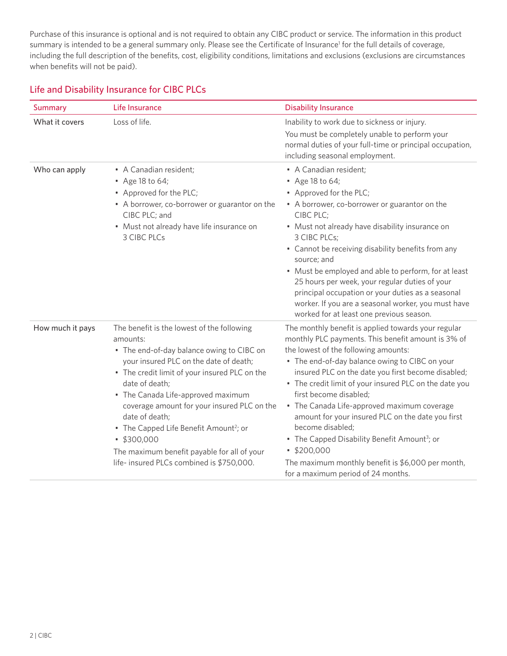<span id="page-1-0"></span>Purchase of this insurance is optional and is not required to obtain any CIBC product or service. The information in this product summary is intended to be a general summary only. Please see the Certificate of Insurance<sup>[1](#page-4-0)</sup> for the full details of coverage, including the full description of the benefits, cost, eligibility conditions, limitations and exclusions (exclusions are circumstances when benefits will not be paid).

## Life and Disability Insurance for CIBC PLCs

| <b>Summary</b>   | Life Insurance                                                                                                                                                                                                                                                                                                                                                                                                                                                                         | <b>Disability Insurance</b>                                                                                                                                                                                                                                                                                                                                                                                                                                                                                                                                                                                                               |
|------------------|----------------------------------------------------------------------------------------------------------------------------------------------------------------------------------------------------------------------------------------------------------------------------------------------------------------------------------------------------------------------------------------------------------------------------------------------------------------------------------------|-------------------------------------------------------------------------------------------------------------------------------------------------------------------------------------------------------------------------------------------------------------------------------------------------------------------------------------------------------------------------------------------------------------------------------------------------------------------------------------------------------------------------------------------------------------------------------------------------------------------------------------------|
| What it covers   | Loss of life.                                                                                                                                                                                                                                                                                                                                                                                                                                                                          | Inability to work due to sickness or injury.<br>You must be completely unable to perform your<br>normal duties of your full-time or principal occupation,<br>including seasonal employment.                                                                                                                                                                                                                                                                                                                                                                                                                                               |
| Who can apply    | • A Canadian resident;<br>• Age 18 to 64;<br>• Approved for the PLC;<br>• A borrower, co-borrower or guarantor on the<br>CIBC PLC; and<br>• Must not already have life insurance on<br><b>3 CIBC PLCs</b>                                                                                                                                                                                                                                                                              | • A Canadian resident;<br>• Age 18 to 64;<br>• Approved for the PLC;<br>• A borrower, co-borrower or guarantor on the<br>CIBC PLC;<br>• Must not already have disability insurance on<br>3 CIBC PLCs;<br>• Cannot be receiving disability benefits from any<br>source; and<br>• Must be employed and able to perform, for at least<br>25 hours per week, your regular duties of your<br>principal occupation or your duties as a seasonal<br>worker. If you are a seasonal worker, you must have<br>worked for at least one previous season.                                                                                              |
| How much it pays | The benefit is the lowest of the following<br>amounts:<br>• The end-of-day balance owing to CIBC on<br>your insured PLC on the date of death;<br>• The credit limit of your insured PLC on the<br>date of death;<br>• The Canada Life-approved maximum<br>coverage amount for your insured PLC on the<br>date of death;<br>• The Capped Life Benefit Amount <sup>2</sup> ; or<br>\$300,000<br>The maximum benefit payable for all of your<br>life- insured PLCs combined is \$750,000. | The monthly benefit is applied towards your regular<br>monthly PLC payments. This benefit amount is 3% of<br>the lowest of the following amounts:<br>• The end-of-day balance owing to CIBC on your<br>insured PLC on the date you first become disabled;<br>• The credit limit of your insured PLC on the date you<br>first become disabled;<br>• The Canada Life-approved maximum coverage<br>amount for your insured PLC on the date you first<br>become disabled;<br>• The Capped Disability Benefit Amount <sup>3</sup> ; or<br>\$200,000<br>The maximum monthly benefit is \$6,000 per month,<br>for a maximum period of 24 months. |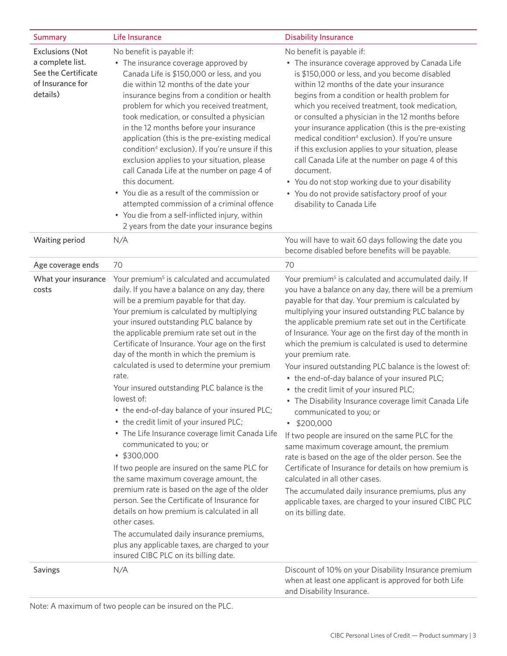<span id="page-2-0"></span>

| <b>Summary</b>                                                                                    | Life Insurance                                                                                                                                                                                                                                                                                                                                                                                                                                                                                                                                                                                                                                                                                                                                                                                                                                                                                                                                                                                                                                                                                           | <b>Disability Insurance</b>                                                                                                                                                                                                                                                                                                                                                                                                                                                                                                                                                                                                                                                                                                                                                                                                                                                                                                                                                                                                                                                                                     |
|---------------------------------------------------------------------------------------------------|----------------------------------------------------------------------------------------------------------------------------------------------------------------------------------------------------------------------------------------------------------------------------------------------------------------------------------------------------------------------------------------------------------------------------------------------------------------------------------------------------------------------------------------------------------------------------------------------------------------------------------------------------------------------------------------------------------------------------------------------------------------------------------------------------------------------------------------------------------------------------------------------------------------------------------------------------------------------------------------------------------------------------------------------------------------------------------------------------------|-----------------------------------------------------------------------------------------------------------------------------------------------------------------------------------------------------------------------------------------------------------------------------------------------------------------------------------------------------------------------------------------------------------------------------------------------------------------------------------------------------------------------------------------------------------------------------------------------------------------------------------------------------------------------------------------------------------------------------------------------------------------------------------------------------------------------------------------------------------------------------------------------------------------------------------------------------------------------------------------------------------------------------------------------------------------------------------------------------------------|
| <b>Exclusions (Not</b><br>a complete list.<br>See the Certificate<br>of Insurance for<br>details) | No benefit is payable if:<br>• The insurance coverage approved by<br>Canada Life is \$150,000 or less, and you<br>die within 12 months of the date your<br>insurance begins from a condition or health<br>problem for which you received treatment,<br>took medication, or consulted a physician<br>in the 12 months before your insurance<br>application (this is the pre-existing medical<br>condition <sup>4</sup> exclusion). If you're unsure if this<br>exclusion applies to your situation, please<br>call Canada Life at the number on page 4 of<br>this document.<br>• You die as a result of the commission or<br>attempted commission of a criminal offence<br>• You die from a self-inflicted injury, within<br>2 years from the date your insurance begins                                                                                                                                                                                                                                                                                                                                  | No benefit is payable if:<br>• The insurance coverage approved by Canada Life<br>is \$150,000 or less, and you become disabled<br>within 12 months of the date your insurance<br>begins from a condition or health problem for<br>which you received treatment, took medication,<br>or consulted a physician in the 12 months before<br>your insurance application (this is the pre-existing<br>medical condition <sup>4</sup> exclusion). If you're unsure<br>if this exclusion applies to your situation, please<br>call Canada Life at the number on page 4 of this<br>document.<br>• You do not stop working due to your disability<br>• You do not provide satisfactory proof of your<br>disability to Canada Life                                                                                                                                                                                                                                                                                                                                                                                         |
| Waiting period                                                                                    | N/A                                                                                                                                                                                                                                                                                                                                                                                                                                                                                                                                                                                                                                                                                                                                                                                                                                                                                                                                                                                                                                                                                                      | You will have to wait 60 days following the date you<br>become disabled before benefits will be payable.                                                                                                                                                                                                                                                                                                                                                                                                                                                                                                                                                                                                                                                                                                                                                                                                                                                                                                                                                                                                        |
| Age coverage ends                                                                                 | 70                                                                                                                                                                                                                                                                                                                                                                                                                                                                                                                                                                                                                                                                                                                                                                                                                                                                                                                                                                                                                                                                                                       | 70                                                                                                                                                                                                                                                                                                                                                                                                                                                                                                                                                                                                                                                                                                                                                                                                                                                                                                                                                                                                                                                                                                              |
| What your insurance<br>costs                                                                      | Your premium <sup>5</sup> is calculated and accumulated<br>daily. If you have a balance on any day, there<br>will be a premium payable for that day.<br>Your premium is calculated by multiplying<br>your insured outstanding PLC balance by<br>the applicable premium rate set out in the<br>Certificate of Insurance. Your age on the first<br>day of the month in which the premium is<br>calculated is used to determine your premium<br>rate.<br>Your insured outstanding PLC balance is the<br>lowest of:<br>• the end-of-day balance of your insured PLC;<br>• the credit limit of your insured PLC;<br>• The Life Insurance coverage limit Canada Life<br>communicated to you; or<br>\$300,000<br>If two people are insured on the same PLC for<br>the same maximum coverage amount, the<br>premium rate is based on the age of the older<br>person. See the Certificate of Insurance for<br>details on how premium is calculated in all<br>other cases.<br>The accumulated daily insurance premiums,<br>plus any applicable taxes, are charged to your<br>insured CIBC PLC on its billing date. | Your premium <sup>5</sup> is calculated and accumulated daily. If<br>you have a balance on any day, there will be a premium<br>payable for that day. Your premium is calculated by<br>multiplying your insured outstanding PLC balance by<br>the applicable premium rate set out in the Certificate<br>of Insurance. Your age on the first day of the month in<br>which the premium is calculated is used to determine<br>your premium rate.<br>Your insured outstanding PLC balance is the lowest of:<br>• the end-of-day balance of your insured PLC;<br>• the credit limit of your insured PLC;<br>• The Disability Insurance coverage limit Canada Life<br>communicated to you; or<br>\$200,000<br>$\bullet$<br>If two people are insured on the same PLC for the<br>same maximum coverage amount, the premium<br>rate is based on the age of the older person. See the<br>Certificate of Insurance for details on how premium is<br>calculated in all other cases.<br>The accumulated daily insurance premiums, plus any<br>applicable taxes, are charged to your insured CIBC PLC<br>on its billing date. |
| Savings                                                                                           | N/A                                                                                                                                                                                                                                                                                                                                                                                                                                                                                                                                                                                                                                                                                                                                                                                                                                                                                                                                                                                                                                                                                                      | Discount of 10% on your Disability Insurance premium<br>when at least one applicant is approved for both Life<br>and Disability Insurance.                                                                                                                                                                                                                                                                                                                                                                                                                                                                                                                                                                                                                                                                                                                                                                                                                                                                                                                                                                      |

Note: A maximum of two people can be insured on the PLC.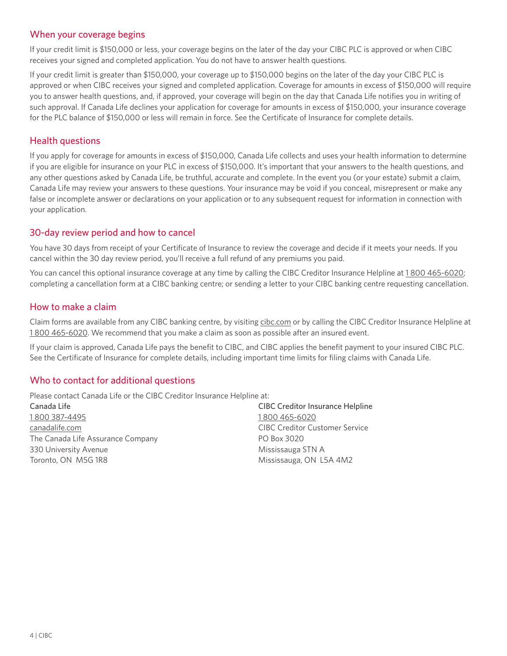### When your coverage begins

If your credit limit is \$150,000 or less, your coverage begins on the later of the day your CIBC PLC is approved or when CIBC receives your signed and completed application. You do not have to answer health questions.

If your credit limit is greater than \$150,000, your coverage up to \$150,000 begins on the later of the day your CIBC PLC is approved or when CIBC receives your signed and completed application. Coverage for amounts in excess of \$150,000 will require you to answer health questions, and, if approved, your coverage will begin on the day that Canada Life notifies you in writing of such approval. If Canada Life declines your application for coverage for amounts in excess of \$150,000, your insurance coverage for the PLC balance of \$150,000 or less will remain in force. See the Certificate of Insurance for complete details.

#### Health questions

If you apply for coverage for amounts in excess of \$150,000, Canada Life collects and uses your health information to determine if you are eligible for insurance on your PLC in excess of \$150,000. It's important that your answers to the health questions, and any other questions asked by Canada Life, be truthful, accurate and complete. In the event you (or your estate) submit a claim, Canada Life may review your answers to these questions. Your insurance may be void if you conceal, misrepresent or make any false or incomplete answer or declarations on your application or to any subsequent request for information in connection with your application.

### 30-day review period and how to cancel

You have 30 days from receipt of your Certificate of Insurance to review the coverage and decide if it meets your needs. If you cancel within the 30 day review period, you'll receive a full refund of any premiums you paid.

You can cancel this optional insurance coverage at any time by calling the CIBC Creditor Insurance Helpline at [1 800 465-6020;](tel:18004656020) completing a cancellation form at a CIBC banking centre; or sending a letter to your CIBC banking centre requesting cancellation.

### How to make a claim

Claim forms are available from any CIBC banking centre, by visiting [cibc.com](http://www.cibc.com) or by calling the CIBC Creditor Insurance Helpline at [1 800 465-6020.](tel:18004656020) We recommend that you make a claim as soon as possible after an insured event.

If your claim is approved, Canada Life pays the benefit to CIBC, and CIBC applies the benefit payment to your insured CIBC PLC. See the Certificate of Insurance for complete details, including important time limits for filing claims with Canada Life.

## Who to contact for additional questions

Please contact Canada Life or the CIBC Creditor Insurance Helpline at:

Canada Life [1 800 387-4495](tel:18003874495) [canadalife.com](https://www.canadalife.com/) The Canada Life Assurance Company 330 University Avenue Toronto, ON M5G 1R8

CIBC Creditor Insurance Helpline [1 800 465-6020](tel:18004656020) CIBC Creditor Customer Service PO Box 3020 Mississauga STN A Mississauga, ON L5A 4M2